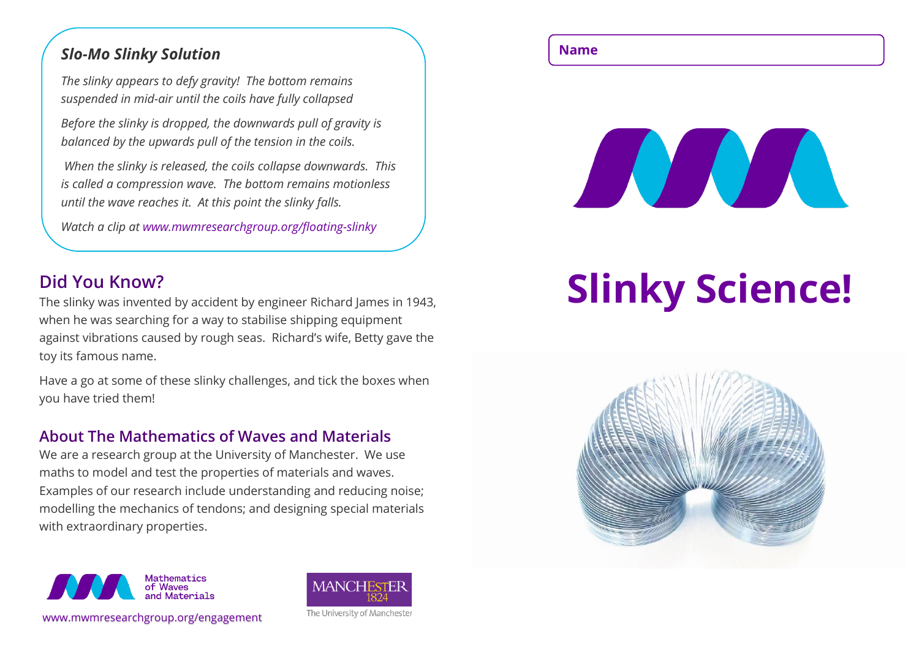# **Name** *Slo-Mo Slinky Solution*

*The slinky appears to defy gravity! The bottom remains suspended in mid-air until the coils have fully collapsed*

*Before the slinky is dropped, the downwards pull of gravity is balanced by the upwards pull of the tension in the coils.*

*When the slinky is released, the coils collapse downwards. This is called a compression wave. The bottom remains motionless until the wave reaches it. At this point the slinky falls.*

*Watch a clip at www.mwmresearchgroup.org/floating-slinky*

# **Did You Know?**

The slinky was invented by accident by engineer Richard James in 1943, when he was searching for a way to stabilise shipping equipment against vibrations caused by rough seas. Richard's wife, Betty gave the toy its famous name.

Have a go at some of these slinky challenges, and tick the boxes when you have tried them!

### **About The Mathematics of Waves and Materials**

We are a research group at the University of Manchester. We use maths to model and test the properties of materials and waves. Examples of our research include understanding and reducing noise; modelling the mechanics of tendons; and designing special materials with extraordinary properties.







# **Slinky Science!**

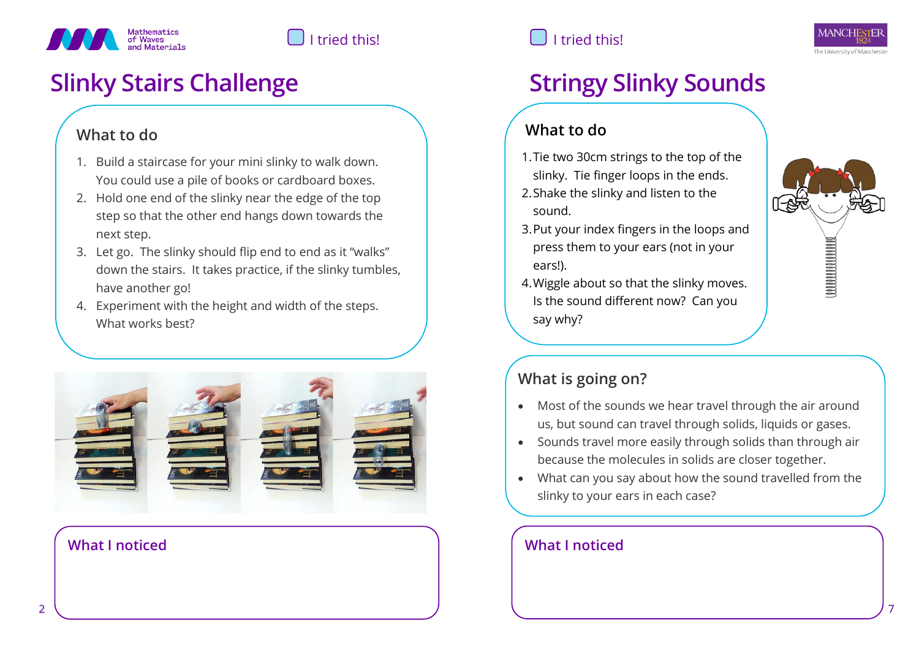

# **Slinky Stairs Challenge Stringy Slinky Sounds**

# **What to do**

- 1. Build a staircase for your mini slinky to walk down. You could use a pile of books or cardboard boxes.
- 2. Hold one end of the slinky near the edge of the top step so that the other end hangs down towards the next step.
- 3. Let go. The slinky should flip end to end as it "walks" down the stairs. It takes practice, if the slinky tumbles, have another go!
- 4. Experiment with the height and width of the steps. What works best?



### **What I noticed What I noticed**

# I tried this!  $\Box$  I tried this!



# **What to do**

- 1.Tie two 30cm strings to the top of the slinky. Tie finger loops in the ends.
- 2.Shake the slinky and listen to the sound.
- 3.Put your index fingers in the loops and press them to your ears (not in your ears!).
- 4.Wiggle about so that the slinky moves. Is the sound different now? Can you say why?



# **What is going on?**

- Most of the sounds we hear travel through the air around us, but sound can travel through solids, liquids or gases.
- Sounds travel more easily through solids than through air because the molecules in solids are closer together.
- What can you say about how the sound travelled from the slinky to your ears in each case?

### With the pot attached, the vibrating slinky makes the pot **What I noticed**

against the air particles.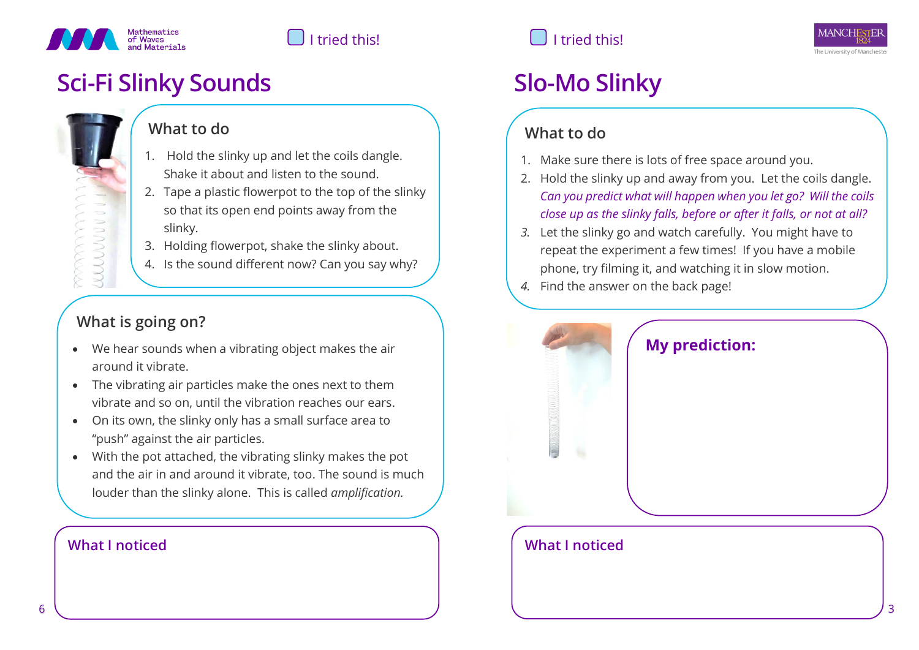

# **Sci-Fi Slinky Sounds Slo-Mo Slinky**

# **What to do**

- 1. Hold the slinky up and let the coils dangle. Shake it about and listen to the sound.
- 2. Tape a plastic flowerpot to the top of the slinky so that its open end points away from the slinky.
- 3. Holding flowerpot, shake the slinky about.
- 4. Is the sound different now? Can you say why?

# **What is going on?**

WUUUU

- We hear sounds when a vibrating object makes the air around it vibrate.
- The vibrating air particles make the ones next to them vibrate and so on, until the vibration reaches our ears.
- On its own, the slinky only has a small surface area to "push" against the air particles.
- With the pot attached, the vibrating slinky makes the pot and the air in and around it vibrate, too. The sound is much louder than the slinky alone. This is called *amplification.*

# I tried this!  $\Box$  I tried this!

# **What to do**

- 1. Make sure there is lots of free space around you.
- 2. Hold the slinky up and away from you. Let the coils dangle. *Can you predict what will happen when you let go? Will the coils close up as the slinky falls, before or after it falls, or not at all?*
- *3.* Let the slinky go and watch carefully. You might have to repeat the experiment a few times! If you have a mobile phone, try filming it, and watching it in slow motion.
- *4.* Find the answer on the back page!



# **What I noticed What I noticed**